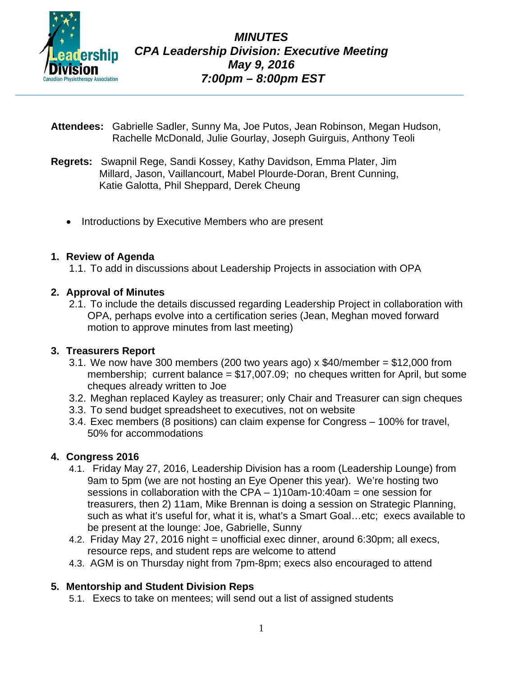

- **Attendees:** Gabrielle Sadler, Sunny Ma, Joe Putos, Jean Robinson, Megan Hudson, Rachelle McDonald, Julie Gourlay, Joseph Guirguis, Anthony Teoli
- **Regrets:** Swapnil Rege, Sandi Kossey, Kathy Davidson, Emma Plater, Jim Millard, Jason, Vaillancourt, Mabel Plourde-Doran, Brent Cunning, Katie Galotta, Phil Sheppard, Derek Cheung
	- Introductions by Executive Members who are present

### **1. Review of Agenda**

1.1. To add in discussions about Leadership Projects in association with OPA

### **2. Approval of Minutes**

2.1. To include the details discussed regarding Leadership Project in collaboration with OPA, perhaps evolve into a certification series (Jean, Meghan moved forward motion to approve minutes from last meeting)

### **3. Treasurers Report**

- 3.1. We now have 300 members (200 two years ago)  $x$  \$40/member = \$12,000 from membership; current balance = \$17,007.09; no cheques written for April, but some cheques already written to Joe
- 3.2. Meghan replaced Kayley as treasurer; only Chair and Treasurer can sign cheques
- 3.3. To send budget spreadsheet to executives, not on website
- 3.4. Exec members (8 positions) can claim expense for Congress 100% for travel, 50% for accommodations

### **4. Congress 2016**

- 4.1. Friday May 27, 2016, Leadership Division has a room (Leadership Lounge) from 9am to 5pm (we are not hosting an Eye Opener this year). We're hosting two sessions in collaboration with the CPA  $-$  1)10am-10:40am = one session for treasurers, then 2) 11am, Mike Brennan is doing a session on Strategic Planning, such as what it's useful for, what it is, what's a Smart Goal...etc; execs available to be present at the lounge: Joe, Gabrielle, Sunny
- 4.2. Friday May 27, 2016 night = unofficial exec dinner, around 6:30pm; all execs, resource reps, and student reps are welcome to attend
- 4.3. AGM is on Thursday night from 7pm-8pm; execs also encouraged to attend

### **5. Mentorship and Student Division Reps**

5.1. Execs to take on mentees; will send out a list of assigned students